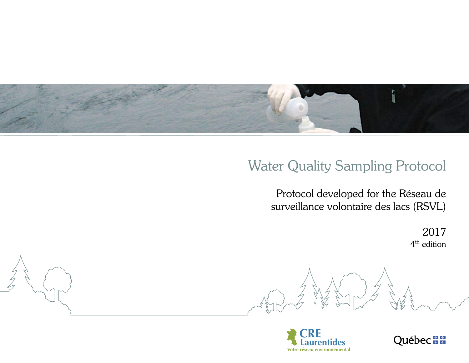

# Water Quality Sampling Protocol

Protocol developed for the Réseau de surveillance volontaire des lacs (RSVL)

> 2017 4<sup>th</sup> edition





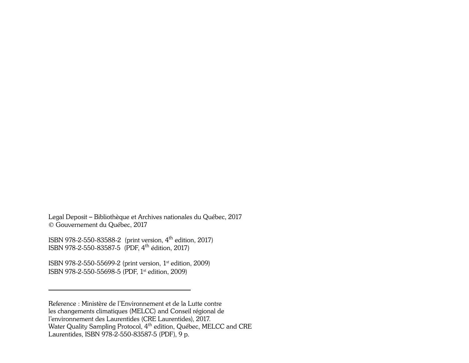Legal Deposit – Bibliothèque et Archives nationales du Québec, 2017 © Gouvernement du Québec, 2017

ISBN 978-2-550-83588-2 (print version, 4th edition, 2017) ISBN 978-2-550-83587-5 (PDF, 4th édition, 2017)

ISBN 978-2-550-55699-2 (print version, 1st edition, 2009) ISBN 978-2-550-55698-5 (PDF, 1st edition, 2009)

Reference : Ministère de l'Environnement et de la Lutte contre les changements climatiques (MELCC) and Conseil régional de l'environnement des Laurentides (CRE Laurentides), 2017. Water Quality Sampling Protocol, 4<sup>th</sup> edition, Québec, MELCC and CRE Laurentides, ISBN 978-2-550-83587-5 (PDF), 9 p.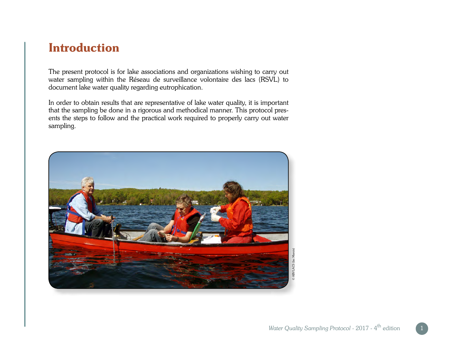### Introduction

The present protocol is for lake associations and organizations wishing to carry out water sampling within the Réseau de surveillance volontaire des lacs (RSVL) to document lake water quality regarding eutrophication.

In order to obtain results that are representative of lake water quality, it is important that the sampling be done in a rigorous and methodical manner. This protocol presents the steps to follow and the practical work required to properly carry out water sampling.

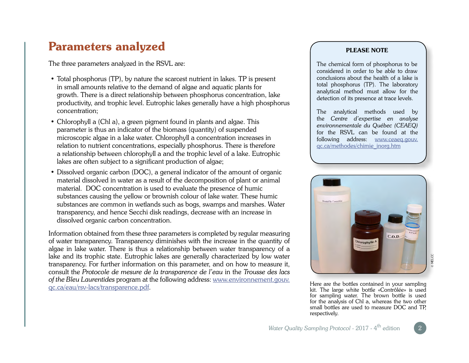## Parameters analyzed

The three parameters analyzed in the RSVL are:

- Total phosphorus (TP), by nature the scarcest nutrient in lakes. TP is present in small amounts relative to the demand of algae and aquatic plants for growth. There is a direct relationship between phosphorus concentration, lake productivity, and trophic level. Eutrophic lakes generally have a high phosphorus concentration;
- Chlorophyll a (Chl a), a green pigment found in plants and algae. This parameter is thus an indicator of the biomass (quantity) of suspended microscopic algae in a lake water. Chlorophyll a concentration increases in relation to nutrient concentrations, especially phosphorus. There is therefore a relationship between chlorophyll a and the trophic level of a lake. Eutrophic lakes are often subject to a significant production of algae;
- Dissolved organic carbon (DOC), a general indicator of the amount of organic material dissolved in water as a result of the decomposition of plant or animal material. DOC concentration is used to evaluate the presence of humic substances causing the yellow or brownish colour of lake water. These humic substances are common in wetlands such as bogs, swamps and marshes. Water transparency, and hence Secchi disk readings, decrease with an increase in dissolved organic carbon concentration.

Information obtained from these three parameters is completed by regular measuring of water transparency. Transparency diminishes with the increase in the quantity of algae in lake water. There is thus a relationship between water transparency of a lake and its trophic state. Eutrophic lakes are generally characterized by low water transparency. For further information on this parameter, and on how to measure it, consult the *Protocole de mesure de la transparence de l'eau* in the *Trousse des lacs of the Bleu Laurentides* program at the following address: [www.environnement.gouv.](http://www.environnement.gouv.qc.ca/eau/rsv-lacs/transparence.pdf) [qc.ca/eau/rsv-lacs/transparence.pdf.](http://www.environnement.gouv.qc.ca/eau/rsv-lacs/transparence.pdf)

#### PLEASE NOTE

The chemical form of phosphorus to be considered in order to be able to draw conclusions about the health of a lake is total phosphorus (TP). The laboratory analytical method must allow for the detection of its presence at trace levels.

The analytical methods used by the *Centre d'expertise en analyse environnementale du Québec (CEAEQ)* for the RSVL can be found at the following address: [www.ceaeq.gouv.](http://www.ceaeq.gouv.qc.ca/methodes/chimie_inorg.htm) [qc.ca/methodes/chimie\\_inorg.htm](http://www.ceaeq.gouv.qc.ca/methodes/chimie_inorg.htm)



Here are the bottles contained in your sampling kit. The large white bottle «Contrôlée» is used for sampling water. The brown bottle is used for the analysis of Chl a, whereas the two other small bottles are used to measure DOC and TP, respectively.

2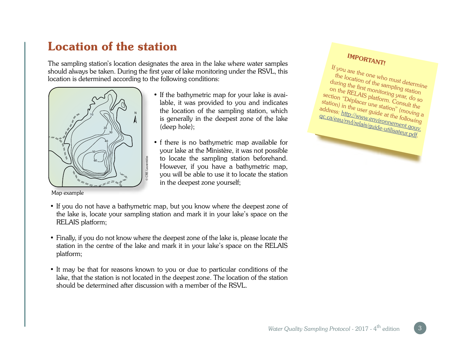# Location of the station

The sampling station's location designates the area in the lake where water samples should always be taken. During the first year of lake monitoring under the RSVL, this location is determined according to the following conditions:



Map example

- If the bathymetric map for your lake is available, it was provided to you and indicates the location of the sampling station, which is generally in the deepest zone of the lake (deep hole);
- f there is no bathymetric map available for your lake at the Ministère, it was not possible to locate the sampling station beforehand. However, if you have a bathymetric map, you will be able to use it to locate the station in the deepest zone yourself;

#### IMPORTANT! If you are the one who must determine the location of the sampling station during the first monitoring year, do so on the RELAIS platform. Consult the section "Déplacer une station" (moving a station) in the user guide at the following address: [http://www.environnement.gouv.](http://www.environnement.gouv.qc.ca/eau/rsvl/relais/guide-utilisateur.pdf) gc.ca/eau/rsvl/relais/guide-utilisateur.pdf.

• If you do not have a bathymetric map, but you know where the deepest zone of the lake is, locate your sampling station and mark it in your lake's space on the RELAIS platform;

© CRE Laurentides

- Finally, if you do not know where the deepest zone of the lake is, please locate the station in the centre of the lake and mark it in your lake's space on the RELAIS platform;
- It may be that for reasons known to you or due to particular conditions of the lake, that the station is not located in the deepest zone. The location of the station should be determined after discussion with a member of the RSVL.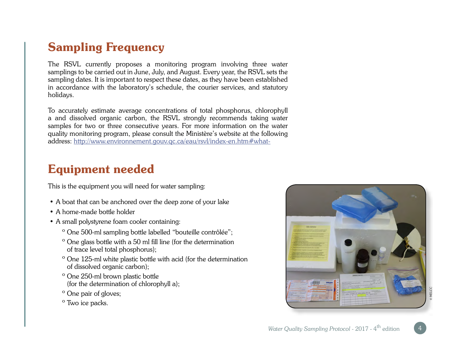# Sampling Frequency

The RSVL currently proposes a monitoring program involving three water samplings to be carried out in June, July, and August. Every year, the RSVL sets the sampling dates. It is important to respect these dates, as they have been established in accordance with the laboratory's schedule, the courier services, and statutory holidays.

To accurately estimate average concentrations of total phosphorus, chlorophyll a and dissolved organic carbon, the RSVL strongly recommends taking water samples for two or three consecutive years. For more information on the water quality monitoring program, please consult the Ministère's website at the following address: <http://www.environnement.gouv.qc.ca/eau/rsvl/index-en.htm#what->

## Equipment needed

This is the equipment you will need for water sampling:

- A boat that can be anchored over the deep zone of your lake
- A home-made bottle holder
- A small polystyrene foam cooler containing:
	- º One 500-ml sampling bottle labelled "bouteille contrôlée";
	- º One glass bottle with a 50 ml fill line (for the determination of trace level total phosphorus);
	- º One 125-ml white plastic bottle with acid (for the determination of dissolved organic carbon);
	- º One 250-ml brown plastic bottle (for the determination of chlorophyll a);
	- º One pair of gloves;
	- º Two ice packs.

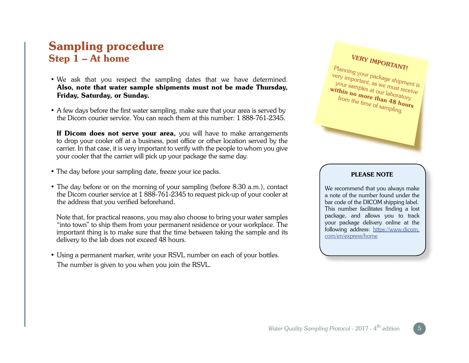### Sampling procedure Step 1 – At home

- We ask that you respect the sampling dates that we have determined. Also, note that water sample shipments must not be made Thursday, Friday, Saturday, or Sunday.
- A few days before the first water sampling, make sure that your area is served by the Dicom courier service. You can reach them at this number: 1 888-761-2345.

If Dicom does not serve your area, you will have to make arrangements to drop your cooler off at a business, post office or other location served by the carrier. In that case, it is very important to verify with the people to whom you give your cooler that the carrier will pick up your package the same day.

- The day before your sampling date, freeze your ice packs.
- The day before or on the morning of your sampling (before 8:30 a.m.), contact the Dicom courier service at 1 888-761-2345 to request pick-up of your cooler at the address that you verified beforehand.

Note that, for practical reasons, you may also choose to bring your water samples "into town" to ship them from your permanent residence or your workplace. The important thing is to make sure that the time between taking the sample and its delivery to the lab does not exceed 48 hours.

• Using a permanent marker, write your RSVL number on each of your bottles. The number is given to you when you join the RSVL.



#### PLEASE NOTE

We recommend that you always make a note of the number found under the bar code of the DICOM shipping label. This number facilitates finding a lost package, and allows you to track your package delivery online at the following address: [https://www.dicom.](https://www.dicom.com/en/express/home) [com/en/express/home](https://www.dicom.com/en/express/home)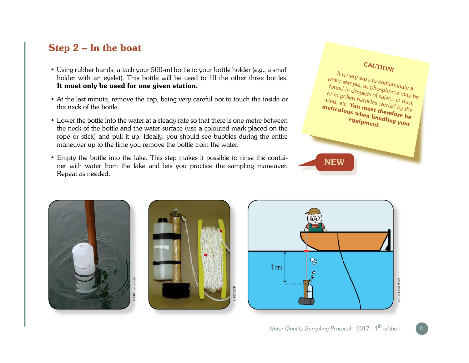### Step 2 – In the boat

- Using rubber bands, attach your 500-ml bottle to your bottle holder (e.g., a small holder with an eyelet). This bottle will be used to fill the other three bottles. It must only be used for one given station.
- At the last minute, remove the cap, being very careful not to touch the inside or the neck of the bottle.
- Lower the bottle into the water at a steady rate so that there is one metre between the neck of the bottle and the water surface (use a coloured mark placed on the rope or stick) and pull it up. Ideally, you should see bubbles during the entire maneuver up to the time you remove the bottle from the water.
- Empty the bottle into the lake. This step makes it possible to rinse the container with water from the lake and lets you practice the sampling maneuver. Repeat as needed.









6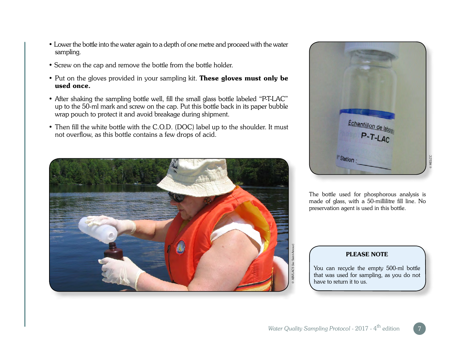- Lower the bottle into the water again to a depth of one metre and proceed with the water sampling.
- Screw on the cap and remove the bottle from the bottle holder.
- Put on the gloves provided in your sampling kit. These gloves must only be used once.
- After shaking the sampling bottle well, fill the small glass bottle labeled "P-T-LAC" up to the 50-ml mark and screw on the cap. Put this bottle back in its paper bubble wrap pouch to protect it and avoid breakage during shipment.
- Then fill the white bottle with the C.O.D. (DOC) label up to the shoulder. It must not overflow, as this bottle contains a few drops of acid.





The bottle used for phosphorous analysis is made of glass, with a 50-millilitre fill line. No preservation agent is used in this bottle.

#### PLEASE NOTE

You can recycle the empty 500-ml bottle that was used for sampling, as you do not have to return it to us.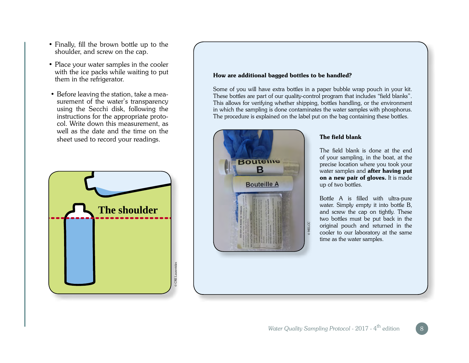- Finally, fill the brown bottle up to the shoulder, and screw on the cap.
- Place your water samples in the cooler with the ice packs while waiting to put them in the refrigerator.
- Before leaving the station, take a measurement of the water's transparency using the Secchi disk, following the instructions for the appropriate protocol. Write down this measurement, as well as the date and the time on the sheet used to record your readings.



#### How are additional bagged bottles to be handled?

Some of you will have extra bottles in a paper bubble wrap pouch in your kit. These bottles are part of our quality-control program that includes "field blanks". This allows for verifying whether shipping, bottles handling, or the environment in which the sampling is done contaminates the water samples with phosphorus. The procedure is explained on the label put on the bag containing these bottles.



#### The field blank

The field blank is done at the end of your sampling, in the boat, at the precise location where you took your water samples and **after having put** on a new pair of gloves. It is made up of two bottles.

Bottle A is filled with ultra-pure water. Simply empty it into bottle B, and screw the cap on tightly. These two bottles must be put back in the original pouch and returned in the cooler to our laboratory at the same time as the water samples. *a Maximum Cooler to our laboratory at the s* time as the water samples.<br>
Water Quality Sampling Protocol - 2017 - 4<sup>th</sup> edition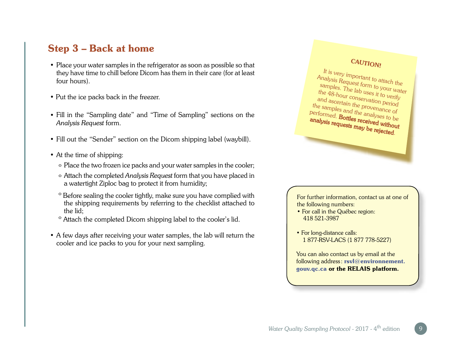### Step 3 – Back at home

- Place your water samples in the refrigerator as soon as possible so that they have time to chill before Dicom has them in their care (for at least four hours).
- Put the ice packs back in the freezer.
- Fill in the "Sampling date" and "Time of Sampling" sections on the *Analysis Request* form.
- Fill out the "Sender" section on the Dicom shipping label (waybill).
- At the time of shipping:
	- º Place the two frozen ice packs and your water samples in the cooler;
	- º Attach the completed *Analysis Request* form that you have placed in a watertight Ziploc bag to protect it from humidity;
	- º Before sealing the cooler tightly, make sure you have complied with the shipping requirements by referring to the checklist attached to the lid;
	- º Attach the completed Dicom shipping label to the cooler's lid.
- A few days after receiving your water samples, the lab will return the cooler and ice packs to you for your next sampling.



It is very important to attach the Analysis Request form to your water samples. The lab uses it to verify the 48-hour conservation period and ascertain the provenance of the samples and the analyses to be performed. Bottles received without analysis requests may be rejected.

For further information, contact us at one of the following numbers:

- For call in the Québec region: 418 521-3987
- For long-distance calls: 1 877-RSV-LACS (1 877 778-5227)

You can also contact us by email at the following address: [rsvl@environnement.](mailto:rsvl@environnement.gouv.qc.ca) [gouv.qc.ca](mailto:rsvl@environnement.gouv.qc.ca) or the RELAIS platform.